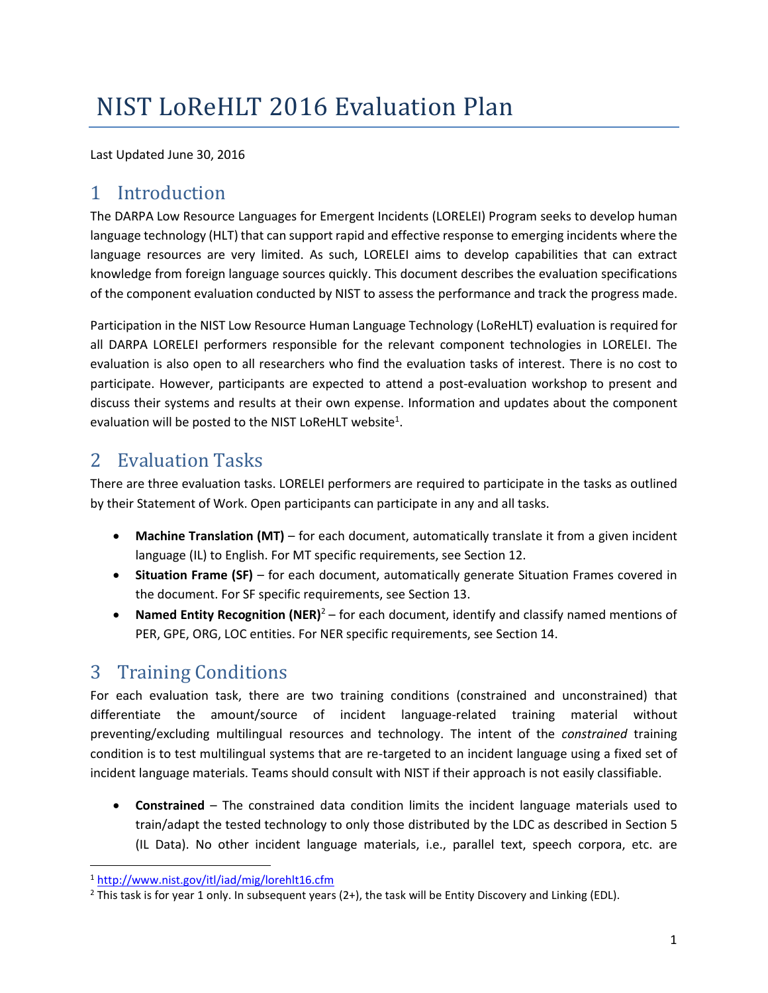# NIST LoReHLT 2016 Evaluation Plan

Last Updated June 30, 2016

# 1 Introduction

The DARPA Low Resource Languages for Emergent Incidents (LORELEI) Program seeks to develop human language technology (HLT) that can support rapid and effective response to emerging incidents where the language resources are very limited. As such, LORELEI aims to develop capabilities that can extract knowledge from foreign language sources quickly. This document describes the evaluation specifications of the component evaluation conducted by NIST to assess the performance and track the progress made.

Participation in the NIST Low Resource Human Language Technology (LoReHLT) evaluation is required for all DARPA LORELEI performers responsible for the relevant component technologies in LORELEI. The evaluation is also open to all researchers who find the evaluation tasks of interest. There is no cost to participate. However, participants are expected to attend a post-evaluation workshop to present and discuss their systems and results at their own expense. Information and updates about the component evaluation will be posted to the NIST LoReHLT website<sup>1</sup>.

# 2 Evaluation Tasks

There are three evaluation tasks. LORELEI performers are required to participate in the tasks as outlined by their Statement of Work. Open participants can participate in any and all tasks.

- **Machine Translation (MT)** for each document, automatically translate it from a given incident language (IL) to English. For MT specific requirements, see Section [12.](#page-10-0)
- **Situation Frame (SF)** for each document, automatically generate Situation Frames covered in the document. For SF specific requirements, see Section [13.](#page-11-0)
- **Named Entity Recognition (NER)<sup>2</sup> for each document, identify and classify named mentions of** PER, GPE, ORG, LOC entities. For NER specific requirements, see Section [14.](#page-14-0)

# 3 Training Conditions

For each evaluation task, there are two training conditions (constrained and unconstrained) that differentiate the amount/source of incident language-related training material without preventing/excluding multilingual resources and technology. The intent of the *constrained* training condition is to test multilingual systems that are re-targeted to an incident language using a fixed set of incident language materials. Teams should consult with NIST if their approach is not easily classifiable.

 **Constrained** – The constrained data condition limits the incident language materials used to train/adapt the tested technology to only those distributed by the LDC as described in Section 5 (IL Data). No other incident language materials, i.e., parallel text, speech corpora, etc. are

l <sup>1</sup> <http://www.nist.gov/itl/iad/mig/lorehlt16.cfm>

<sup>&</sup>lt;sup>2</sup> This task is for year 1 only. In subsequent years (2+), the task will be Entity Discovery and Linking (EDL).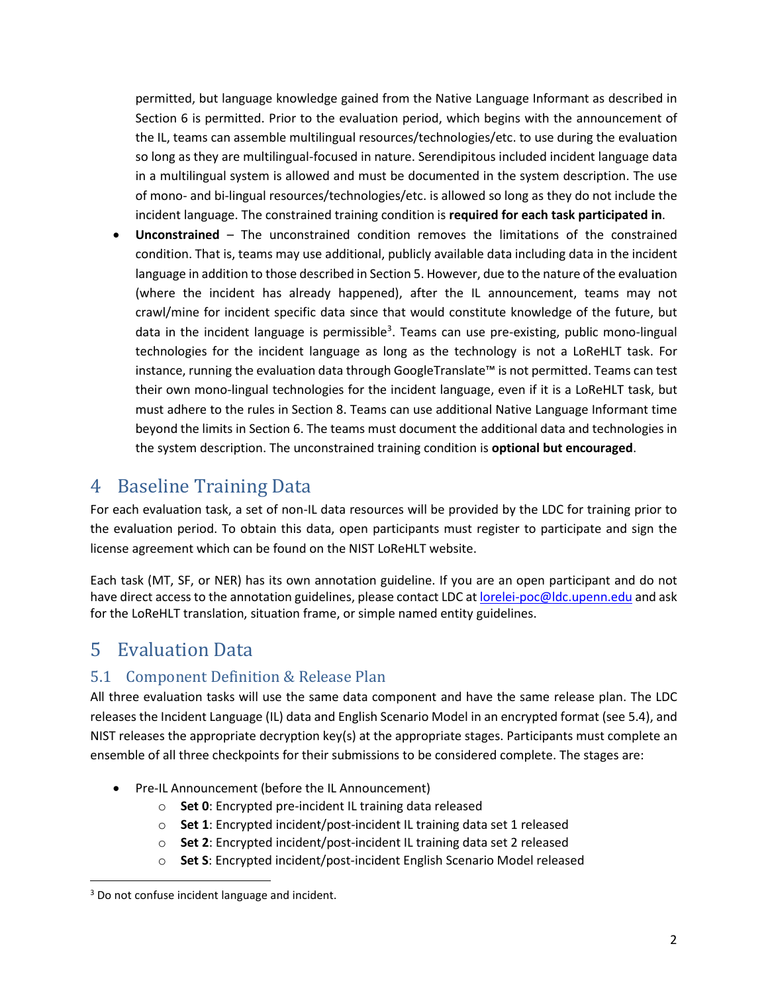permitted, but language knowledge gained from the Native Language Informant as described in Section 6 is permitted. Prior to the evaluation period, which begins with the announcement of the IL, teams can assemble multilingual resources/technologies/etc. to use during the evaluation so long as they are multilingual-focused in nature. Serendipitous included incident language data in a multilingual system is allowed and must be documented in the system description. The use of mono- and bi-lingual resources/technologies/etc. is allowed so long as they do not include the incident language. The constrained training condition is **required for each task participated in**.

 **Unconstrained** – The unconstrained condition removes the limitations of the constrained condition. That is, teams may use additional, publicly available data including data in the incident language in addition to those described in Section 5. However, due to the nature of the evaluation (where the incident has already happened), after the IL announcement, teams may not crawl/mine for incident specific data since that would constitute knowledge of the future, but data in the incident language is permissible<sup>3</sup>. Teams can use pre-existing, public mono-lingual technologies for the incident language as long as the technology is not a LoReHLT task. For instance, running the evaluation data through GoogleTranslate™ is not permitted. Teams can test their own mono-lingual technologies for the incident language, even if it is a LoReHLT task, but must adhere to the rules in Section 8. Teams can use additional Native Language Informant time beyond the limits in Section 6. The teams must document the additional data and technologies in the system description. The unconstrained training condition is **optional but encouraged**.

### 4 Baseline Training Data

For each evaluation task, a set of non-IL data resources will be provided by the LDC for training prior to the evaluation period. To obtain this data, open participants must register to participate and sign the license agreement which can be found on the NIST LoReHLT website.

Each task (MT, SF, or NER) has its own annotation guideline. If you are an open participant and do not have direct access to the annotation guidelines, please contact LDC a[t lorelei-poc@ldc.upenn.edu](mailto:lorelei-poc@ldc.upenn.edu) and ask for the LoReHLT translation, situation frame, or simple named entity guidelines.

# 5 Evaluation Data

### 5.1 Component Definition & Release Plan

All three evaluation tasks will use the same data component and have the same release plan. The LDC releases the Incident Language (IL) data and English Scenario Model in an encrypted format (see [5.4\)](#page-2-0), and NIST releases the appropriate decryption key(s) at the appropriate stages. Participants must complete an ensemble of all three checkpoints for their submissions to be considered complete. The stages are:

- Pre-IL Announcement (before the IL Announcement)
	- o **Set 0**: Encrypted pre-incident IL training data released
	- o **Set 1**: Encrypted incident/post-incident IL training data set 1 released
	- o **Set 2**: Encrypted incident/post-incident IL training data set 2 released
	- o **Set S**: Encrypted incident/post-incident English Scenario Model released

 $\overline{\phantom{a}}$ <sup>3</sup> Do not confuse incident language and incident.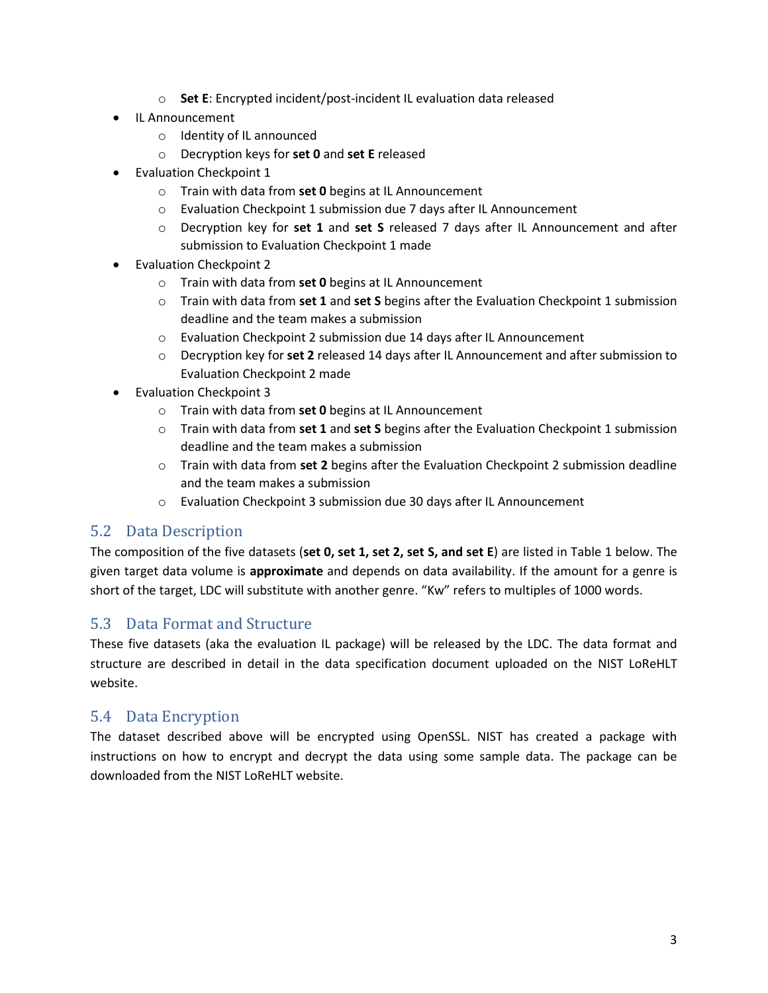- o **Set E**: Encrypted incident/post-incident IL evaluation data released
- IL Announcement
	- o Identity of IL announced
	- o Decryption keys for **set 0** and **set E** released
- Evaluation Checkpoint 1
	- o Train with data from **set 0** begins at IL Announcement
	- o Evaluation Checkpoint 1 submission due 7 days after IL Announcement
	- o Decryption key for **set 1** and **set S** released 7 days after IL Announcement and after submission to Evaluation Checkpoint 1 made
- Evaluation Checkpoint 2
	- o Train with data from **set 0** begins at IL Announcement
	- o Train with data from **set 1** and **set S** begins after the Evaluation Checkpoint 1 submission deadline and the team makes a submission
	- o Evaluation Checkpoint 2 submission due 14 days after IL Announcement
	- o Decryption key for **set 2** released 14 days after IL Announcement and after submission to Evaluation Checkpoint 2 made
- Evaluation Checkpoint 3
	- o Train with data from **set 0** begins at IL Announcement
	- o Train with data from **set 1** and **set S** begins after the Evaluation Checkpoint 1 submission deadline and the team makes a submission
	- o Train with data from **set 2** begins after the Evaluation Checkpoint 2 submission deadline and the team makes a submission
	- o Evaluation Checkpoint 3 submission due 30 days after IL Announcement

#### 5.2 Data Description

The composition of the five datasets (**set 0, set 1, set 2, set S, and set E**) are listed in Table 1 below. The given target data volume is **approximate** and depends on data availability. If the amount for a genre is short of the target, LDC will substitute with another genre. "Kw" refers to multiples of 1000 words.

#### <span id="page-2-1"></span>5.3 Data Format and Structure

These five datasets (aka the evaluation IL package) will be released by the LDC. The data format and structure are described in detail in the data specification document uploaded on the NIST LoReHLT website.

#### <span id="page-2-0"></span>5.4 Data Encryption

The dataset described above will be encrypted using OpenSSL. NIST has created a package with instructions on how to encrypt and decrypt the data using some sample data. The package can be downloaded from the NIST LoReHLT website.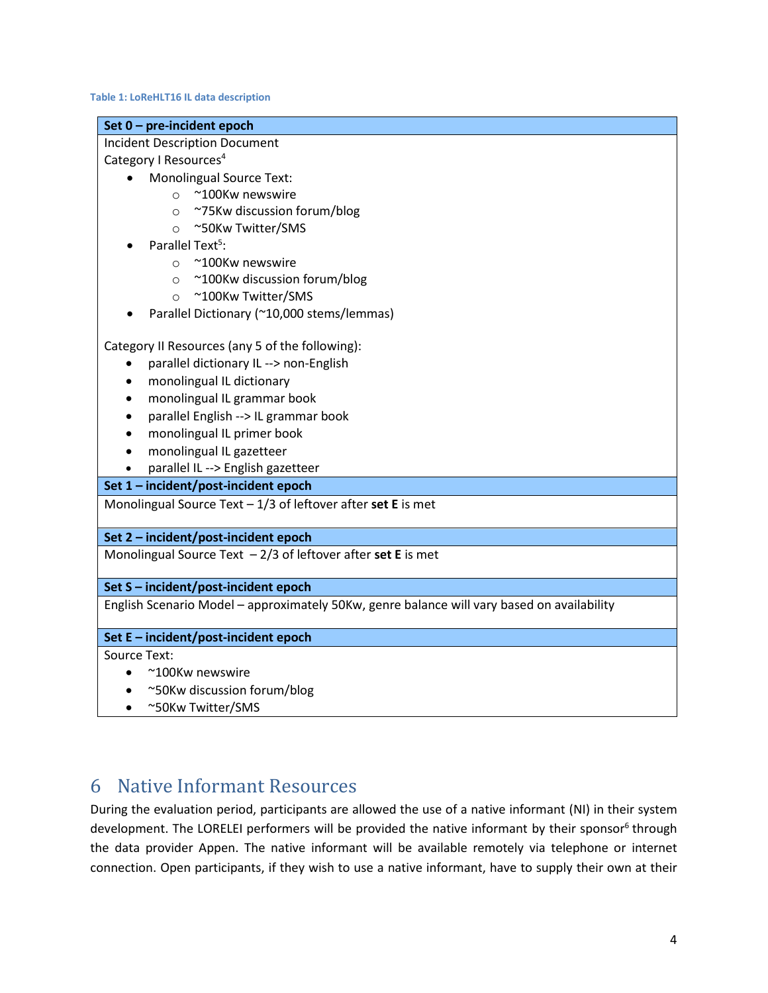#### **Table 1: LoReHLT16 IL data description**

| Set 0 - pre-incident epoch                                                                 |
|--------------------------------------------------------------------------------------------|
| <b>Incident Description Document</b>                                                       |
| Category I Resources <sup>4</sup>                                                          |
| <b>Monolingual Source Text:</b>                                                            |
| ~100Kw newswire<br>$\bigcirc$                                                              |
| ~75Kw discussion forum/blog<br>$\circ$                                                     |
| ~50Kw Twitter/SMS<br>$\circ$                                                               |
| Parallel Text <sup>5</sup> :                                                               |
| ~100Kw newswire<br>$\circ$                                                                 |
| ~100Kw discussion forum/blog<br>$\circ$                                                    |
| ~100Kw Twitter/SMS<br>$\circ$                                                              |
| Parallel Dictionary (~10,000 stems/lemmas)                                                 |
| Category II Resources (any 5 of the following):                                            |
| parallel dictionary IL --> non-English<br>$\bullet$                                        |
| monolingual IL dictionary                                                                  |
| monolingual IL grammar book                                                                |
| parallel English --> IL grammar book                                                       |
| monolingual IL primer book                                                                 |
| monolingual IL gazetteer                                                                   |
| parallel IL --> English gazetteer                                                          |
| Set 1 - incident/post-incident epoch                                                       |
| Monolingual Source Text $-1/3$ of leftover after set E is met                              |
| Set 2 - incident/post-incident epoch                                                       |
| Monolingual Source Text $-2/3$ of leftover after set E is met                              |
| Set S - incident/post-incident epoch                                                       |
| English Scenario Model - approximately 50Kw, genre balance will vary based on availability |
| Set E - incident/post-incident epoch                                                       |
| Source Text:                                                                               |
| ~100Kw newswire                                                                            |
| ~50Kw discussion forum/blog                                                                |
| ~50Kw Twitter/SMS                                                                          |

### 6 Native Informant Resources

During the evaluation period, participants are allowed the use of a native informant (NI) in their system development. The LORELEI performers will be provided the native informant by their sponsor<sup>6</sup> through the data provider Appen. The native informant will be available remotely via telephone or internet connection. Open participants, if they wish to use a native informant, have to supply their own at their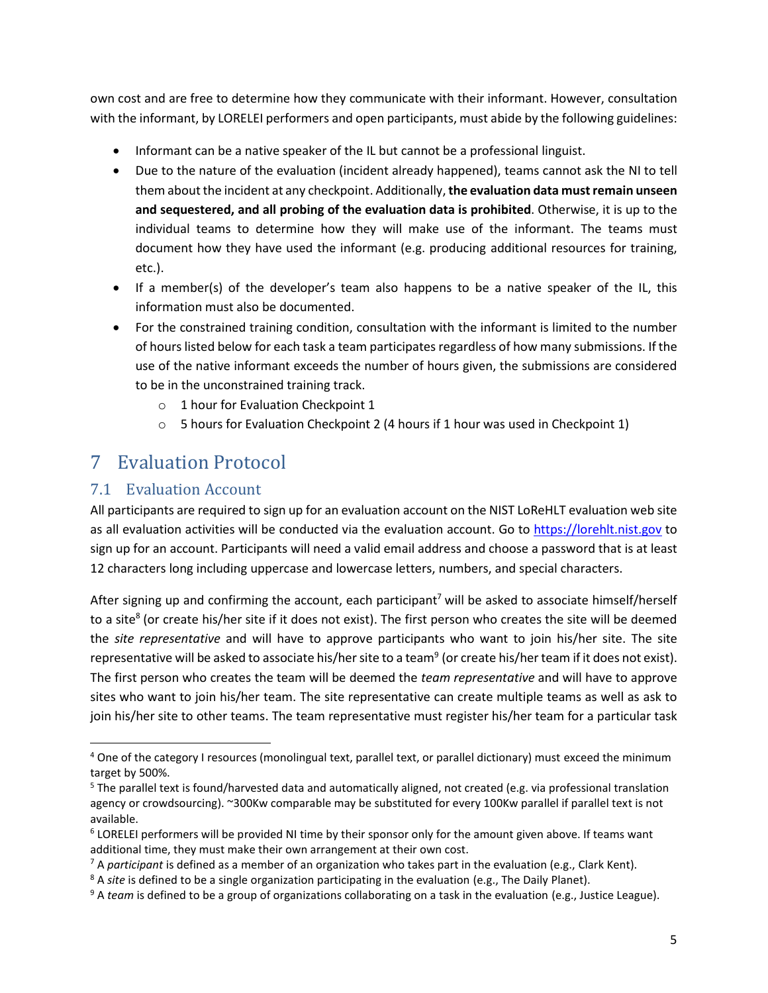own cost and are free to determine how they communicate with their informant. However, consultation with the informant, by LORELEI performers and open participants, must abide by the following guidelines:

- Informant can be a native speaker of the IL but cannot be a professional linguist.
- Due to the nature of the evaluation (incident already happened), teams cannot ask the NI to tell them about the incident at any checkpoint. Additionally, **the evaluation data must remain unseen and sequestered, and all probing of the evaluation data is prohibited**. Otherwise, it is up to the individual teams to determine how they will make use of the informant. The teams must document how they have used the informant (e.g. producing additional resources for training, etc.).
- If a member(s) of the developer's team also happens to be a native speaker of the IL, this information must also be documented.
- For the constrained training condition, consultation with the informant is limited to the number of hours listed below for each task a team participates regardless of how many submissions. If the use of the native informant exceeds the number of hours given, the submissions are considered to be in the unconstrained training track.
	- o 1 hour for Evaluation Checkpoint 1
	- $\circ$  5 hours for Evaluation Checkpoint 2 (4 hours if 1 hour was used in Checkpoint 1)

### 7 Evaluation Protocol

#### 7.1 Evaluation Account

 $\overline{\phantom{a}}$ 

All participants are required to sign up for an evaluation account on the NIST LoReHLT evaluation web site as all evaluation activities will be conducted via the evaluation account. Go to [https://lorehlt.nist.gov](https://lorehlt.nist.gov/) to sign up for an account. Participants will need a valid email address and choose a password that is at least 12 characters long including uppercase and lowercase letters, numbers, and special characters.

After signing up and confirming the account, each participant<sup>7</sup> will be asked to associate himself/herself to a site<sup>8</sup> (or create his/her site if it does not exist). The first person who creates the site will be deemed the *site representative* and will have to approve participants who want to join his/her site. The site representative will be asked to associate his/her site to a team<sup>9</sup> (or create his/her team if it does not exist). The first person who creates the team will be deemed the *team representative* and will have to approve sites who want to join his/her team. The site representative can create multiple teams as well as ask to join his/her site to other teams. The team representative must register his/her team for a particular task

<sup>&</sup>lt;sup>4</sup> One of the category I resources (monolingual text, parallel text, or parallel dictionary) must exceed the minimum target by 500%.

<sup>5</sup> The parallel text is found/harvested data and automatically aligned, not created (e.g. via professional translation agency or crowdsourcing). ~300Kw comparable may be substituted for every 100Kw parallel if parallel text is not available.

<sup>&</sup>lt;sup>6</sup> LORELEI performers will be provided NI time by their sponsor only for the amount given above. If teams want additional time, they must make their own arrangement at their own cost.

<sup>7</sup> A *participant* is defined as a member of an organization who takes part in the evaluation (e.g., Clark Kent).

<sup>8</sup> A *site* is defined to be a single organization participating in the evaluation (e.g., The Daily Planet).

<sup>9</sup> A *team* is defined to be a group of organizations collaborating on a task in the evaluation (e.g., Justice League).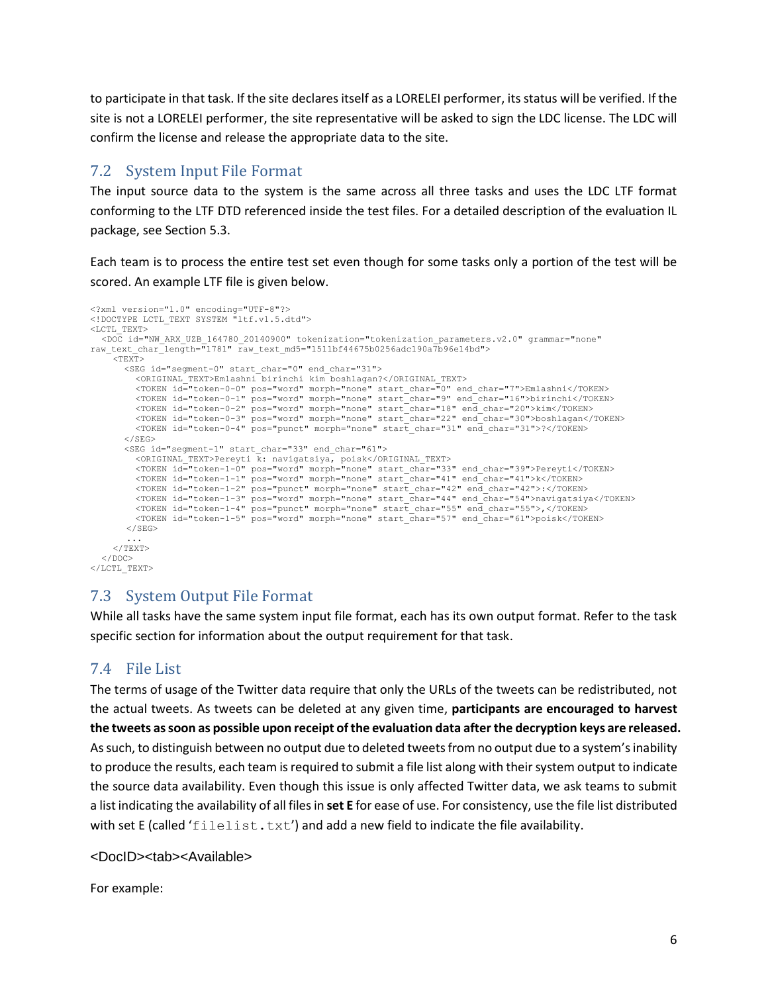to participate in that task. If the site declares itself as a LORELEI performer, its status will be verified. If the site is not a LORELEI performer, the site representative will be asked to sign the LDC license. The LDC will confirm the license and release the appropriate data to the site.

### 7.2 System Input File Format

The input source data to the system is the same across all three tasks and uses the LDC LTF format conforming to the LTF DTD referenced inside the test files. For a detailed description of the evaluation IL package, see Section [5.3.](#page-2-1)

Each team is to process the entire test set even though for some tasks only a portion of the test will be scored. An example LTF file is given below.

```
<?xml version="1.0" encoding="UTF-8"?>
<!DOCTYPE LCTL_TEXT SYSTEM "ltf.v1.5.dtd">
\langleLCTL_TEXT\rangle<DOC id="NW_ARX_UZB_164780_20140900" tokenization="tokenization_parameters.v2.0" grammar="none" 
raw_text_char_length="1781" raw_text_md5="1511bf44675b0256adc190a7b96e14bd">
       <TEXT>
          <SEG id="segment-0" start_char="0" end_char="31">
              <ORIGINAL_TEXT>Emlashni birinchi kim boshlagan?</ORIGINAL_TEXT>
               <TOKEN id="token-0-0" pos="word" morph="none" start_char="0" end_char="7">Emlashni</TOKEN><br><TOKEN id="token-0-1" pos="word" morph="none" start_char="9" end_char="16">birinchi</TOKEN><br><TOKEN id="token-0-2" pos="word" morph=
          \langle/SEG><SEG id="segment-1" start_char="33" end_char="61">
               <ORIGINAL_TEXT>Pereyti k: navigatsiya, poisk</ORIGINAL_TEXT>
<TOKEN id="token-1-0" pos="word" morph="none" start_char="33" end_char="39">Pereyti</TOKEN>
               <TOKEN id="token-1-1" pos="word" morph="none" start_char="41" end_char="41">k</TOKEN>
<TOKEN id="token-1-2" pos="punct" morph="none" start_char="42" end_char="42">:</TOKEN>
               <TOKEN id="token-1-3" pos="word" morph="none" start_char="44" end_char="54">navigatsiya</TOKEN><br><TOKEN id="token-1-4" pos="punct" morph="none" start_char="55" end_char="55">,</TOKEN><br><TOKEN id="token-1-5" pos="word" morph=
           </SEG>
       ...
</TEXT>
   </DOC>
\langle/LCTL_TEXT>
```
### 7.3 System Output File Format

While all tasks have the same system input file format, each has its own output format. Refer to the task specific section for information about the output requirement for that task.

### 7.4 File List

The terms of usage of the Twitter data require that only the URLs of the tweets can be redistributed, not the actual tweets. As tweets can be deleted at any given time, **participants are encouraged to harvest the tweets as soon as possible upon receipt of the evaluation data after the decryption keys are released.** As such, to distinguish between no output due to deleted tweets from no output due to a system's inability to produce the results, each team is required to submit a file list along with their system output to indicate the source data availability. Even though this issue is only affected Twitter data, we ask teams to submit a list indicating the availability of all files in **set E** for ease of use. For consistency, use the file list distributed with set E (called 'filelist.txt') and add a new field to indicate the file availability.

<DocID><tab><Available>

For example: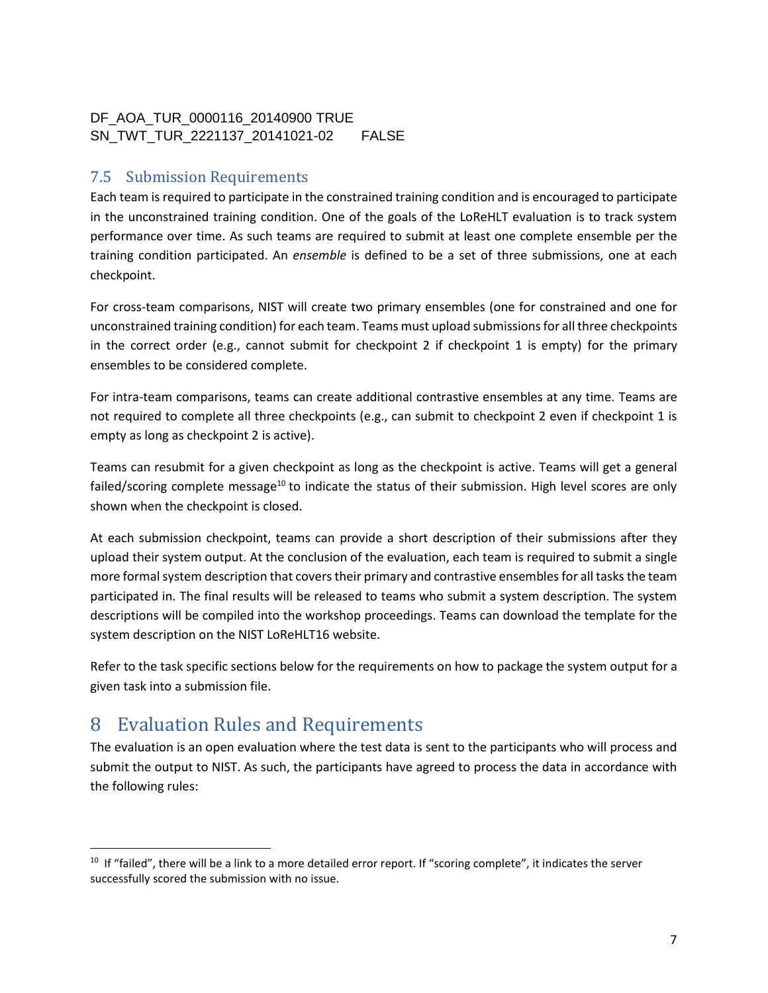#### DF\_AOA\_TUR\_0000116\_20140900 TRUE SN\_TWT\_TUR\_2221137\_20141021-02 FALSE

### 7.5 Submission Requirements

Each team is required to participate in the constrained training condition and is encouraged to participate in the unconstrained training condition. One of the goals of the LoReHLT evaluation is to track system performance over time. As such teams are required to submit at least one complete ensemble per the training condition participated. An *ensemble* is defined to be a set of three submissions, one at each checkpoint.

For cross-team comparisons, NIST will create two primary ensembles (one for constrained and one for unconstrained training condition) for each team. Teams must upload submissionsfor all three checkpoints in the correct order (e.g., cannot submit for checkpoint 2 if checkpoint 1 is empty) for the primary ensembles to be considered complete.

For intra-team comparisons, teams can create additional contrastive ensembles at any time. Teams are not required to complete all three checkpoints (e.g., can submit to checkpoint 2 even if checkpoint 1 is empty as long as checkpoint 2 is active).

Teams can resubmit for a given checkpoint as long as the checkpoint is active. Teams will get a general failed/scoring complete message<sup>10</sup> to indicate the status of their submission. High level scores are only shown when the checkpoint is closed.

At each submission checkpoint, teams can provide a short description of their submissions after they upload their system output. At the conclusion of the evaluation, each team is required to submit a single more formal system description that covers their primary and contrastive ensembles for all tasks the team participated in. The final results will be released to teams who submit a system description. The system descriptions will be compiled into the workshop proceedings. Teams can download the template for the system description on the NIST LoReHLT16 website.

Refer to the task specific sections below for the requirements on how to package the system output for a given task into a submission file.

# 8 Evaluation Rules and Requirements

 $\overline{\phantom{a}}$ 

The evaluation is an open evaluation where the test data is sent to the participants who will process and submit the output to NIST. As such, the participants have agreed to process the data in accordance with the following rules:

<sup>&</sup>lt;sup>10</sup> If "failed", there will be a link to a more detailed error report. If "scoring complete", it indicates the server successfully scored the submission with no issue.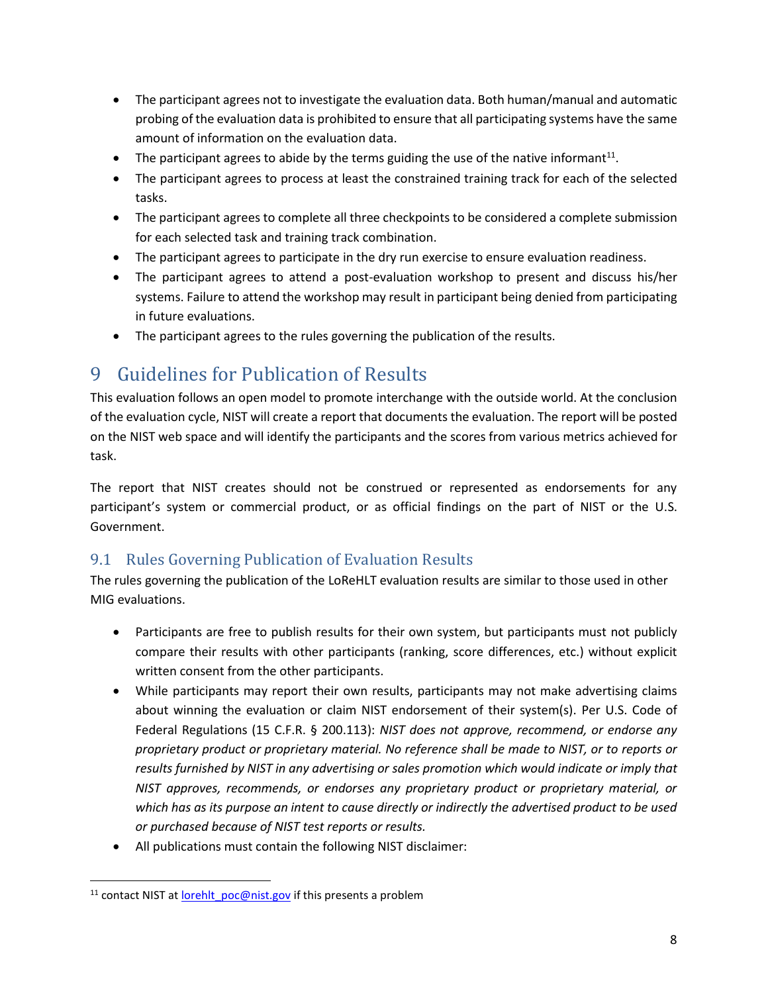- The participant agrees not to investigate the evaluation data. Both human/manual and automatic probing of the evaluation data is prohibited to ensure that all participating systems have the same amount of information on the evaluation data.
- $\bullet$  The participant agrees to abide by the terms guiding the use of the native informant<sup>11</sup>.
- The participant agrees to process at least the constrained training track for each of the selected tasks.
- The participant agrees to complete all three checkpoints to be considered a complete submission for each selected task and training track combination.
- The participant agrees to participate in the dry run exercise to ensure evaluation readiness.
- The participant agrees to attend a post-evaluation workshop to present and discuss his/her systems. Failure to attend the workshop may result in participant being denied from participating in future evaluations.
- The participant agrees to the rules governing the publication of the results.

# 9 Guidelines for Publication of Results

This evaluation follows an open model to promote interchange with the outside world. At the conclusion of the evaluation cycle, NIST will create a report that documents the evaluation. The report will be posted on the NIST web space and will identify the participants and the scores from various metrics achieved for task.

The report that NIST creates should not be construed or represented as endorsements for any participant's system or commercial product, or as official findings on the part of NIST or the U.S. Government.

### 9.1 Rules Governing Publication of Evaluation Results

The rules governing the publication of the LoReHLT evaluation results are similar to those used in other MIG evaluations.

- Participants are free to publish results for their own system, but participants must not publicly compare their results with other participants (ranking, score differences, etc.) without explicit written consent from the other participants.
- While participants may report their own results, participants may not make advertising claims about winning the evaluation or claim NIST endorsement of their system(s). Per U.S. Code of Federal Regulations (15 C.F.R. § 200.113): *NIST does not approve, recommend, or endorse any proprietary product or proprietary material. No reference shall be made to NIST, or to reports or results furnished by NIST in any advertising or sales promotion which would indicate or imply that NIST approves, recommends, or endorses any proprietary product or proprietary material, or which has as its purpose an intent to cause directly or indirectly the advertised product to be used or purchased because of NIST test reports or results.*
- All publications must contain the following NIST disclaimer:

 $\overline{\phantom{a}}$ 

<sup>&</sup>lt;sup>11</sup> contact NIST a[t lorehlt\\_poc@nist.gov](mailto:lorehlt_poc@nist.gov) if this presents a problem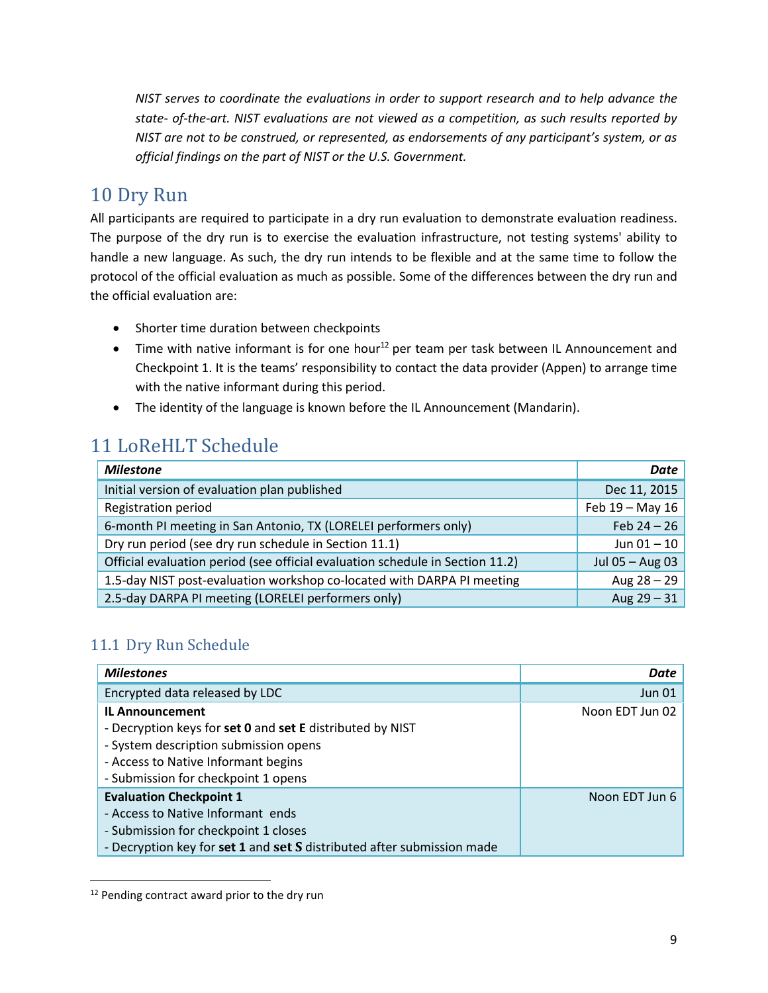*NIST serves to coordinate the evaluations in order to support research and to help advance the state- of-the-art. NIST evaluations are not viewed as a competition, as such results reported by NIST are not to be construed, or represented, as endorsements of any participant's system, or as official findings on the part of NIST or the U.S. Government.*

### 10 Dry Run

All participants are required to participate in a dry run evaluation to demonstrate evaluation readiness. The purpose of the dry run is to exercise the evaluation infrastructure, not testing systems' ability to handle a new language. As such, the dry run intends to be flexible and at the same time to follow the protocol of the official evaluation as much as possible. Some of the differences between the dry run and the official evaluation are:

- Shorter time duration between checkpoints
- $\bullet$  Time with native informant is for one hour<sup>12</sup> per team per task between IL Announcement and Checkpoint 1. It is the teams' responsibility to contact the data provider (Appen) to arrange time with the native informant during this period.
- The identity of the language is known before the IL Announcement (Mandarin).

# 11 LoReHLT Schedule

| <b>Milestone</b>                                                              | Date              |
|-------------------------------------------------------------------------------|-------------------|
| Initial version of evaluation plan published                                  | Dec 11, 2015      |
| <b>Registration period</b>                                                    | Feb $19 -$ May 16 |
| 6-month PI meeting in San Antonio, TX (LORELEI performers only)               | Feb $24 - 26$     |
| Dry run period (see dry run schedule in Section 11.1)                         | Jun $01 - 10$     |
| Official evaluation period (see official evaluation schedule in Section 11.2) | Jul 05 $-$ Aug 03 |
| 1.5-day NIST post-evaluation workshop co-located with DARPA PI meeting        | Aug $28 - 29$     |
| 2.5-day DARPA PI meeting (LORELEI performers only)                            | Aug $29 - 31$     |

### <span id="page-8-0"></span>11.1 Dry Run Schedule

| <b>Milestones</b>                                                      | Date            |
|------------------------------------------------------------------------|-----------------|
| Encrypted data released by LDC                                         | <b>Jun 01</b>   |
| <b>IL Announcement</b>                                                 | Noon EDT Jun 02 |
| - Decryption keys for set 0 and set E distributed by NIST              |                 |
| - System description submission opens                                  |                 |
| - Access to Native Informant begins                                    |                 |
| - Submission for checkpoint 1 opens                                    |                 |
| <b>Evaluation Checkpoint 1</b>                                         | Noon EDT Jun 6  |
| - Access to Native Informant ends                                      |                 |
| - Submission for checkpoint 1 closes                                   |                 |
| - Decryption key for set 1 and set S distributed after submission made |                 |

<sup>&</sup>lt;sup>12</sup> Pending contract award prior to the dry run

 $\overline{\phantom{a}}$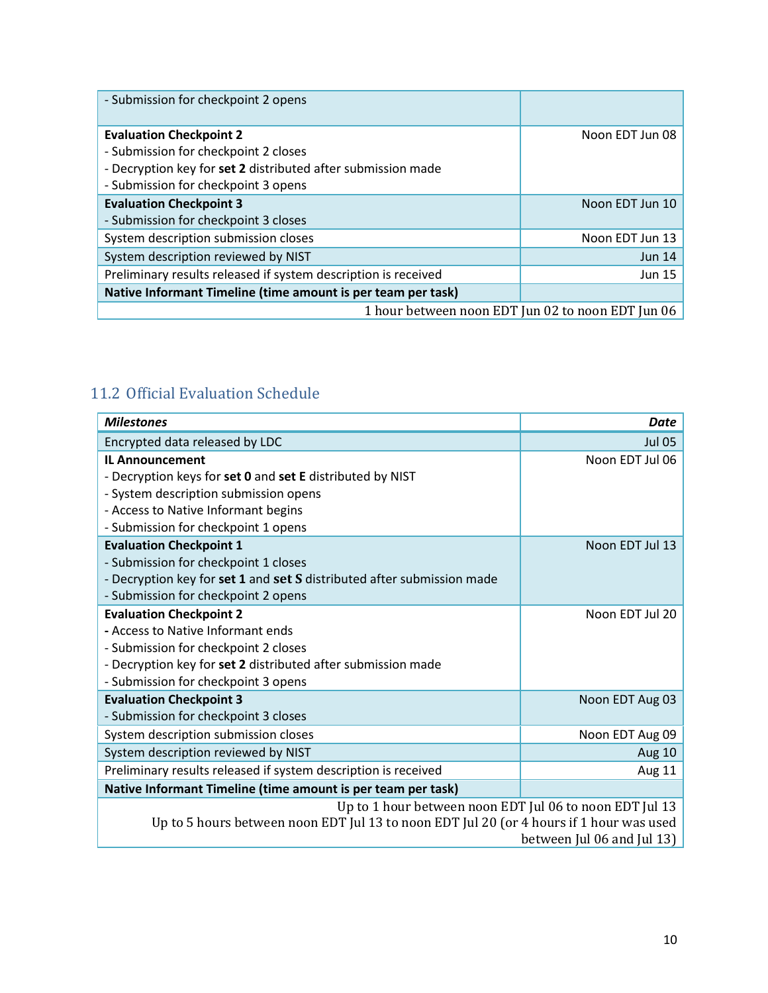| - Submission for checkpoint 2 opens                            |                                                   |
|----------------------------------------------------------------|---------------------------------------------------|
| <b>Evaluation Checkpoint 2</b>                                 | Noon EDT Jun 08                                   |
| - Submission for checkpoint 2 closes                           |                                                   |
| - Decryption key for set 2 distributed after submission made   |                                                   |
| - Submission for checkpoint 3 opens                            |                                                   |
| <b>Evaluation Checkpoint 3</b>                                 | Noon EDT Jun 10                                   |
| - Submission for checkpoint 3 closes                           |                                                   |
| System description submission closes                           | Noon EDT Jun 13                                   |
| System description reviewed by NIST                            | Jun $14$                                          |
| Preliminary results released if system description is received | <b>Jun 15</b>                                     |
| Native Informant Timeline (time amount is per team per task)   |                                                   |
|                                                                | 1 hour between noon EDT Jun 02 to noon EDT Jun 06 |

### <span id="page-9-0"></span>11.2 Official Evaluation Schedule

| <b>Milestones</b>                                                                       | Date                       |  |  |
|-----------------------------------------------------------------------------------------|----------------------------|--|--|
| Encrypted data released by LDC                                                          | <b>Jul 05</b>              |  |  |
| <b>IL Announcement</b>                                                                  | Noon EDT Jul 06            |  |  |
| - Decryption keys for set 0 and set E distributed by NIST                               |                            |  |  |
| - System description submission opens                                                   |                            |  |  |
| - Access to Native Informant begins                                                     |                            |  |  |
| - Submission for checkpoint 1 opens                                                     |                            |  |  |
| <b>Evaluation Checkpoint 1</b>                                                          | Noon EDT Jul 13            |  |  |
| - Submission for checkpoint 1 closes                                                    |                            |  |  |
| - Decryption key for set 1 and set S distributed after submission made                  |                            |  |  |
| - Submission for checkpoint 2 opens                                                     |                            |  |  |
| <b>Evaluation Checkpoint 2</b>                                                          | Noon EDT Jul 20            |  |  |
| - Access to Native Informant ends                                                       |                            |  |  |
| - Submission for checkpoint 2 closes                                                    |                            |  |  |
| - Decryption key for set 2 distributed after submission made                            |                            |  |  |
| - Submission for checkpoint 3 opens                                                     |                            |  |  |
| <b>Evaluation Checkpoint 3</b>                                                          | Noon EDT Aug 03            |  |  |
| - Submission for checkpoint 3 closes                                                    |                            |  |  |
| System description submission closes                                                    | Noon EDT Aug 09            |  |  |
| System description reviewed by NIST                                                     | Aug 10                     |  |  |
| Preliminary results released if system description is received                          | Aug 11                     |  |  |
| Native Informant Timeline (time amount is per team per task)                            |                            |  |  |
| Up to 1 hour between noon EDT Jul 06 to noon EDT Jul 13                                 |                            |  |  |
| Up to 5 hours between noon EDT Jul 13 to noon EDT Jul 20 (or 4 hours if 1 hour was used |                            |  |  |
|                                                                                         | between Jul 06 and Jul 13) |  |  |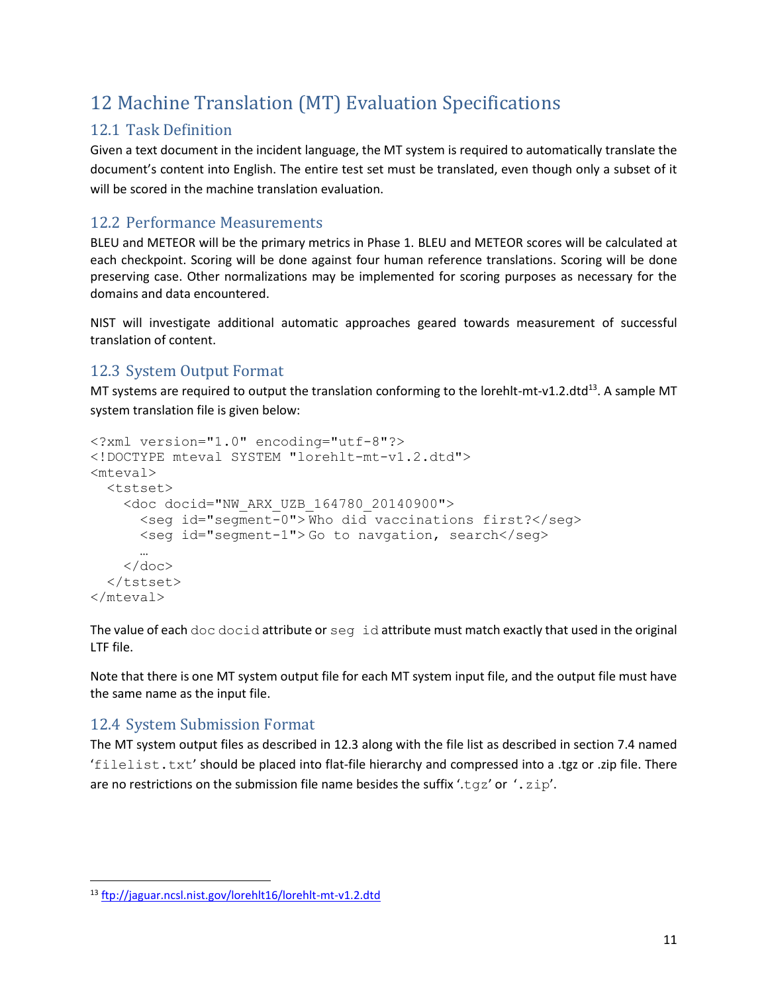# <span id="page-10-0"></span>12 Machine Translation (MT) Evaluation Specifications

### 12.1 Task Definition

Given a text document in the incident language, the MT system is required to automatically translate the document's content into English. The entire test set must be translated, even though only a subset of it will be scored in the machine translation evaluation.

### 12.2 Performance Measurements

BLEU and METEOR will be the primary metrics in Phase 1. BLEU and METEOR scores will be calculated at each checkpoint. Scoring will be done against four human reference translations. Scoring will be done preserving case. Other normalizations may be implemented for scoring purposes as necessary for the domains and data encountered.

NIST will investigate additional automatic approaches geared towards measurement of successful translation of content.

### <span id="page-10-1"></span>12.3 System Output Format

MT systems are required to output the translation conforming to the lorehlt-mt-v1.2.dtd<sup>13</sup>. A sample MT system translation file is given below:

```
<?xml version="1.0" encoding="utf-8"?>
<!DOCTYPE mteval SYSTEM "lorehlt-mt-v1.2.dtd">
<mteval>
   <tstset>
     <doc docid="NW_ARX_UZB_164780_20140900">
       <seg id="segment-0"> Who did vaccinations first?</seg>
       <seg id="segment-1"> Go to navgation, search</seg>
 …
    \langle doc>
  \langle/tstset>
</mteval>
```
The value of each doc docid attribute or seq id attribute must match exactly that used in the original LTF file.

Note that there is one MT system output file for each MT system input file, and the output file must have the same name as the input file.

### 12.4 System Submission Format

 $\overline{\phantom{a}}$ 

The MT system output files as described in [12.3](#page-10-1) along with the file list as described in section 7.4 named 'filelist.txt' should be placed into flat-file hierarchy and compressed into a .tgz or .zip file. There are no restrictions on the submission file name besides the suffix '.tgz' or '.zip'.

<sup>13</sup> <ftp://jaguar.ncsl.nist.gov/lorehlt16/lorehlt-mt-v1.2.dtd>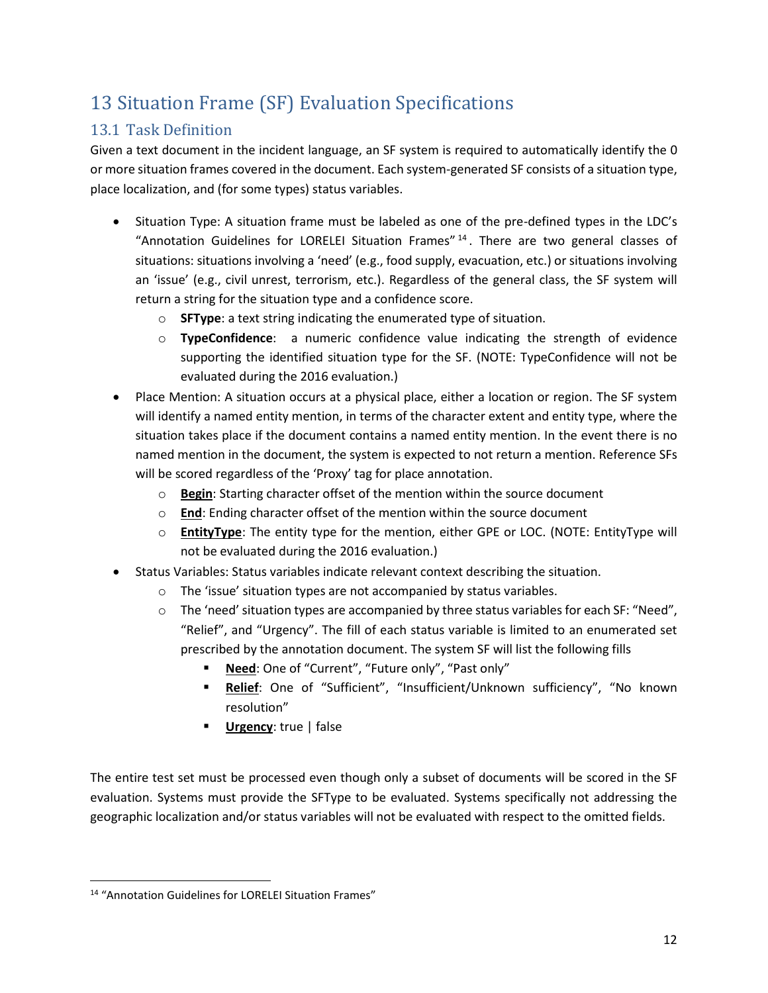# <span id="page-11-0"></span>13 Situation Frame (SF) Evaluation Specifications

### 13.1 Task Definition

Given a text document in the incident language, an SF system is required to automatically identify the 0 or more situation frames covered in the document. Each system-generated SF consists of a situation type, place localization, and (for some types) status variables.

- Situation Type: A situation frame must be labeled as one of the pre-defined types in the LDC's "Annotation Guidelines for LORELEI Situation Frames"<sup>14</sup>. There are two general classes of situations: situations involving a 'need' (e.g., food supply, evacuation, etc.) or situations involving an 'issue' (e.g., civil unrest, terrorism, etc.). Regardless of the general class, the SF system will return a string for the situation type and a confidence score.
	- o **SFType**: a text string indicating the enumerated type of situation.
	- o **TypeConfidence**: a numeric confidence value indicating the strength of evidence supporting the identified situation type for the SF. (NOTE: TypeConfidence will not be evaluated during the 2016 evaluation.)
- Place Mention: A situation occurs at a physical place, either a location or region. The SF system will identify a named entity mention, in terms of the character extent and entity type, where the situation takes place if the document contains a named entity mention. In the event there is no named mention in the document, the system is expected to not return a mention. Reference SFs will be scored regardless of the 'Proxy' tag for place annotation.
	- o **Begin**: Starting character offset of the mention within the source document
	- o **End**: Ending character offset of the mention within the source document
	- o **EntityType**: The entity type for the mention, either GPE or LOC. (NOTE: EntityType will not be evaluated during the 2016 evaluation.)
- Status Variables: Status variables indicate relevant context describing the situation.
	- o The 'issue' situation types are not accompanied by status variables.
	- $\circ$  The 'need' situation types are accompanied by three status variables for each SF: "Need", "Relief", and "Urgency". The fill of each status variable is limited to an enumerated set prescribed by the annotation document. The system SF will list the following fills
		- **Need**: One of "Current", "Future only", "Past only"
		- **Relief**: One of "Sufficient", "Insufficient/Unknown sufficiency", "No known resolution"
		- **Urgency**: true | false

The entire test set must be processed even though only a subset of documents will be scored in the SF evaluation. Systems must provide the SFType to be evaluated. Systems specifically not addressing the geographic localization and/or status variables will not be evaluated with respect to the omitted fields.

 $\overline{\phantom{a}}$ <sup>14</sup> "Annotation Guidelines for LORELEI Situation Frames"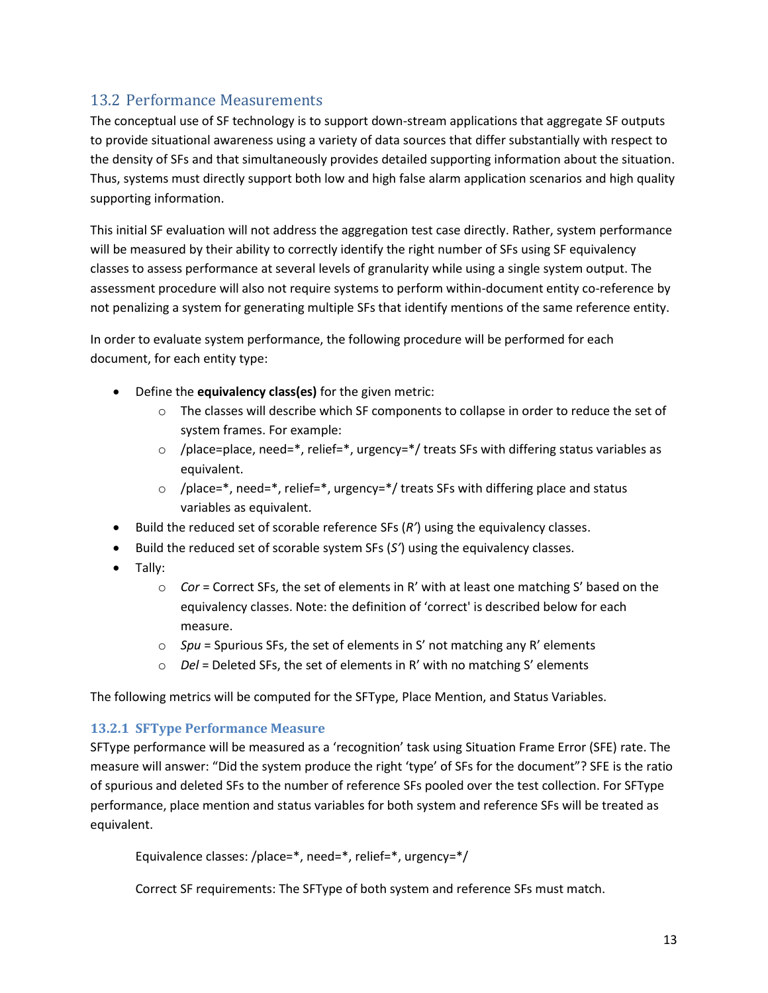#### 13.2 Performance Measurements

The conceptual use of SF technology is to support down-stream applications that aggregate SF outputs to provide situational awareness using a variety of data sources that differ substantially with respect to the density of SFs and that simultaneously provides detailed supporting information about the situation. Thus, systems must directly support both low and high false alarm application scenarios and high quality supporting information.

This initial SF evaluation will not address the aggregation test case directly. Rather, system performance will be measured by their ability to correctly identify the right number of SFs using SF equivalency classes to assess performance at several levels of granularity while using a single system output. The assessment procedure will also not require systems to perform within-document entity co-reference by not penalizing a system for generating multiple SFs that identify mentions of the same reference entity.

In order to evaluate system performance, the following procedure will be performed for each document, for each entity type:

- Define the **equivalency class(es)** for the given metric:
	- $\circ$  The classes will describe which SF components to collapse in order to reduce the set of system frames. For example:
	- $\circ$  /place=place, need=\*, relief=\*, urgency=\*/ treats SFs with differing status variables as equivalent.
	- $\circ$  /place=\*, need=\*, relief=\*, urgency=\*/ treats SFs with differing place and status variables as equivalent.
- Build the reduced set of scorable reference SFs (*R'*) using the equivalency classes.
- Build the reduced set of scorable system SFs (*S'*) using the equivalency classes.
- Tally:
	- o *Cor* = Correct SFs, the set of elements in R' with at least one matching S' based on the equivalency classes. Note: the definition of 'correct' is described below for each measure.
	- o *Spu* = Spurious SFs, the set of elements in S' not matching any R' elements
	- o *Del* = Deleted SFs, the set of elements in R' with no matching S' elements

The following metrics will be computed for the SFType, Place Mention, and Status Variables.

#### **13.2.1 SFType Performance Measure**

SFType performance will be measured as a 'recognition' task using Situation Frame Error (SFE) rate. The measure will answer: "Did the system produce the right 'type' of SFs for the document"? SFE is the ratio of spurious and deleted SFs to the number of reference SFs pooled over the test collection. For SFType performance, place mention and status variables for both system and reference SFs will be treated as equivalent.

```
Equivalence classes: /place=*, need=*, relief=*, urgency=*/
```
Correct SF requirements: The SFType of both system and reference SFs must match.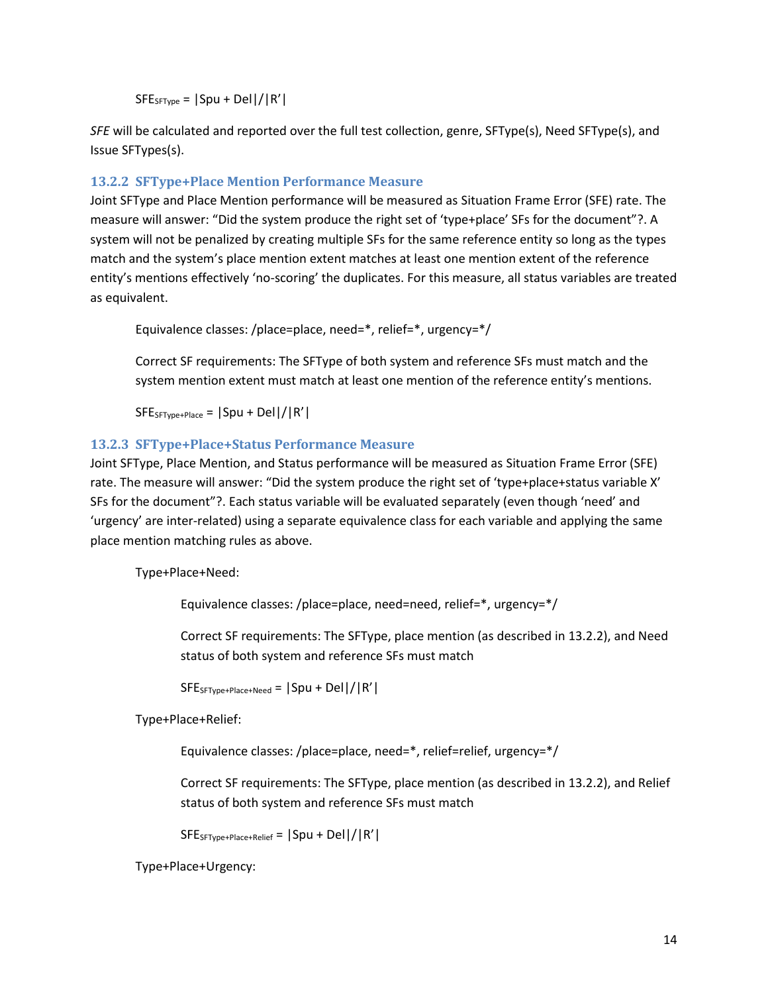$SFE_{SFType} = |Spu + Del| / |R'|$ 

*SFE* will be calculated and reported over the full test collection, genre, SFType(s), Need SFType(s), and Issue SFTypes(s).

#### <span id="page-13-0"></span>**13.2.2 SFType+Place Mention Performance Measure**

Joint SFType and Place Mention performance will be measured as Situation Frame Error (SFE) rate. The measure will answer: "Did the system produce the right set of 'type+place' SFs for the document"?. A system will not be penalized by creating multiple SFs for the same reference entity so long as the types match and the system's place mention extent matches at least one mention extent of the reference entity's mentions effectively 'no-scoring' the duplicates. For this measure, all status variables are treated as equivalent.

Equivalence classes: /place=place, need=\*, relief=\*, urgency=\*/

Correct SF requirements: The SFType of both system and reference SFs must match and the system mention extent must match at least one mention of the reference entity's mentions.

 $SFE_{SFType+Place} = |Spu + Del| / |R'|$ 

#### **13.2.3 SFType+Place+Status Performance Measure**

Joint SFType, Place Mention, and Status performance will be measured as Situation Frame Error (SFE) rate. The measure will answer: "Did the system produce the right set of 'type+place+status variable X' SFs for the document"?. Each status variable will be evaluated separately (even though 'need' and 'urgency' are inter-related) using a separate equivalence class for each variable and applying the same place mention matching rules as above.

Type+Place+Need:

Equivalence classes: /place=place, need=need, relief=\*, urgency=\*/

Correct SF requirements: The SFType, place mention (as described in [13.2.2\)](#page-13-0), and Need status of both system and reference SFs must match

 $SFE$ <sub>SFType+Place+Need</sub> =  $|Spu + Del| / |R'|$ 

Type+Place+Relief:

Equivalence classes: /place=place, need=\*, relief=relief, urgency=\*/

Correct SF requirements: The SFType, place mention (as described in [13.2.2\)](#page-13-0), and Relief status of both system and reference SFs must match

 $SFE<sub>SFType+Place+Relief</sub> = |Spu + Del| / |R'|$ 

Type+Place+Urgency: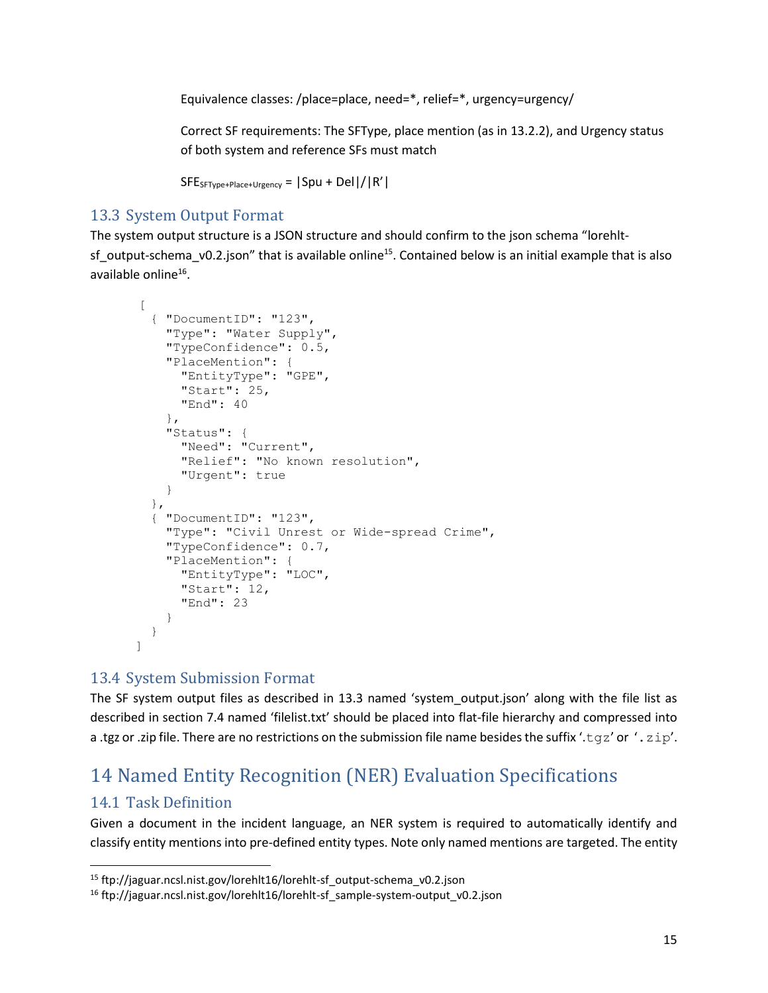Equivalence classes: /place=place, need=\*, relief=\*, urgency=urgency/

Correct SF requirements: The SFType, place mention (as in [13.2.2\)](#page-13-0), and Urgency status of both system and reference SFs must match

```
SFE_{SFType+Place+Urgency} = |Spu + Del| / |R'|
```
#### <span id="page-14-1"></span>13.3 System Output Format

The system output structure is a JSON structure and should confirm to the json schema "lorehltsf\_output-schema\_v0.2.json" that is available online<sup>15</sup>. Contained below is an initial example that is also available online<sup>16</sup>.

```
\lceil{ "DocumentID": "123",
    "Type": "Water Supply",
    "TypeConfidence": 0.5,
    "PlaceMention": {
      "EntityType": "GPE",
      "Start": 25,
      "End": 40
    },
    "Status": {
      "Need": "Current",
      "Relief": "No known resolution",
      "Urgent": true
    }
  },
  { "DocumentID": "123",
    "Type": "Civil Unrest or Wide-spread Crime",
    "TypeConfidence": 0.7,
    "PlaceMention": {
      "EntityType": "LOC",
      "Start": 12,
      "End": 23
    }
  }
]
```
#### 13.4 System Submission Format

The SF system output files as described in [13.3](#page-14-1) named 'system\_output.json' along with the file list as described in section 7.4 named 'filelist.txt' should be placed into flat-file hierarchy and compressed into a .tgz or .zip file. There are no restrictions on the submission file name besides the suffix '.tgz' or '.zip'.

# <span id="page-14-0"></span>14 Named Entity Recognition (NER) Evaluation Specifications

#### 14.1 Task Definition

l

Given a document in the incident language, an NER system is required to automatically identify and classify entity mentions into pre-defined entity types. Note only named mentions are targeted. The entity

<sup>15</sup> ftp://jaguar.ncsl.nist.gov/lorehlt16/lorehlt-sf\_output-schema\_v0.2.json

<sup>16</sup> ftp://jaguar.ncsl.nist.gov/lorehlt16/lorehlt-sf\_sample-system-output\_v0.2.json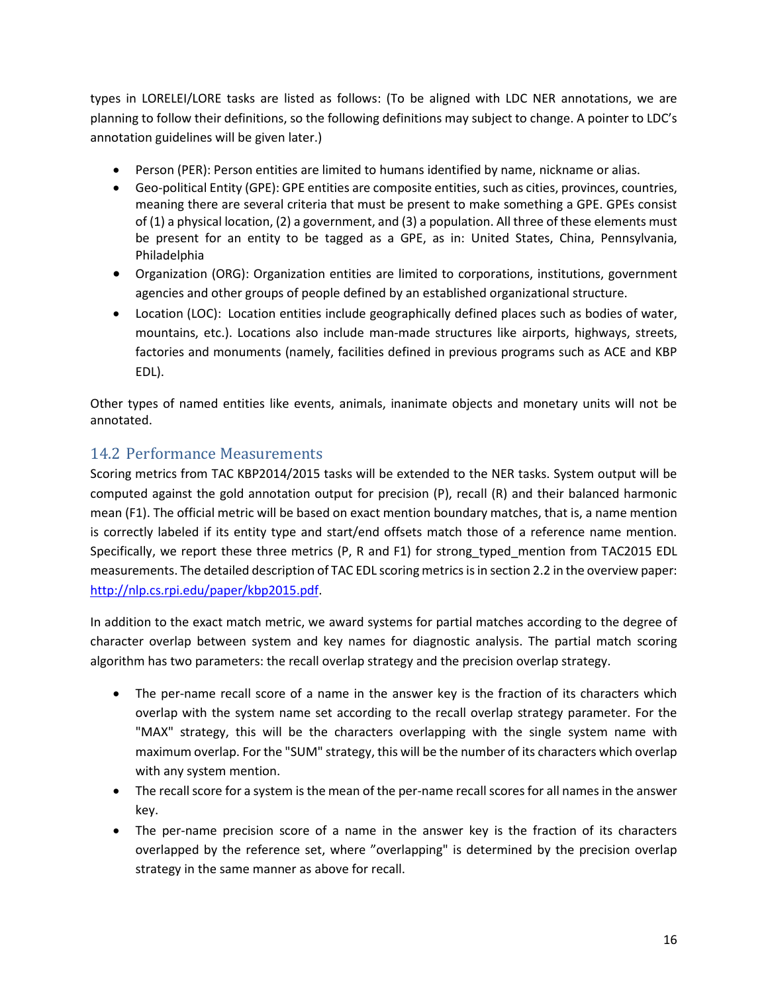types in LORELEI/LORE tasks are listed as follows: (To be aligned with LDC NER annotations, we are planning to follow their definitions, so the following definitions may subject to change. A pointer to LDC's annotation guidelines will be given later.)

- Person (PER): Person entities are limited to humans identified by name, nickname or alias.
- Geo-political Entity (GPE): GPE entities are composite entities, such as cities, provinces, countries, meaning there are several criteria that must be present to make something a GPE. GPEs consist of (1) a physical location, (2) a government, and (3) a population. All three of these elements must be present for an entity to be tagged as a GPE, as in: United States, China, Pennsylvania, Philadelphia
- Organization (ORG): Organization entities are limited to corporations, institutions, government agencies and other groups of people defined by an established organizational structure.
- Location (LOC): Location entities include geographically defined places such as bodies of water, mountains, etc.). Locations also include man-made structures like airports, highways, streets, factories and monuments (namely, facilities defined in previous programs such as ACE and KBP EDL).

Other types of named entities like events, animals, inanimate objects and monetary units will not be annotated.

#### 14.2 Performance Measurements

Scoring metrics from TAC KBP2014/2015 tasks will be extended to the NER tasks. System output will be computed against the gold annotation output for precision (P), recall (R) and their balanced harmonic mean (F1). The official metric will be based on exact mention boundary matches, that is, a name mention is correctly labeled if its entity type and start/end offsets match those of a reference name mention. Specifically, we report these three metrics (P, R and F1) for strong typed mention from TAC2015 EDL measurements. The detailed description of TAC EDL scoring metrics is in section 2.2 in the overview paper: [http://nlp.cs.rpi.edu/paper/kbp2015.pdf.](http://nlp.cs.rpi.edu/paper/kbp2015.pdf)

In addition to the exact match metric, we award systems for partial matches according to the degree of character overlap between system and key names for diagnostic analysis. The partial match scoring algorithm has two parameters: the recall overlap strategy and the precision overlap strategy.

- The per-name recall score of a name in the answer key is the fraction of its characters which overlap with the system name set according to the recall overlap strategy parameter. For the "MAX" strategy, this will be the characters overlapping with the single system name with maximum overlap. For the "SUM" strategy, this will be the number of its characters which overlap with any system mention.
- The recall score for a system is the mean of the per-name recall scores for all names in the answer key.
- The per-name precision score of a name in the answer key is the fraction of its characters overlapped by the reference set, where "overlapping" is determined by the precision overlap strategy in the same manner as above for recall.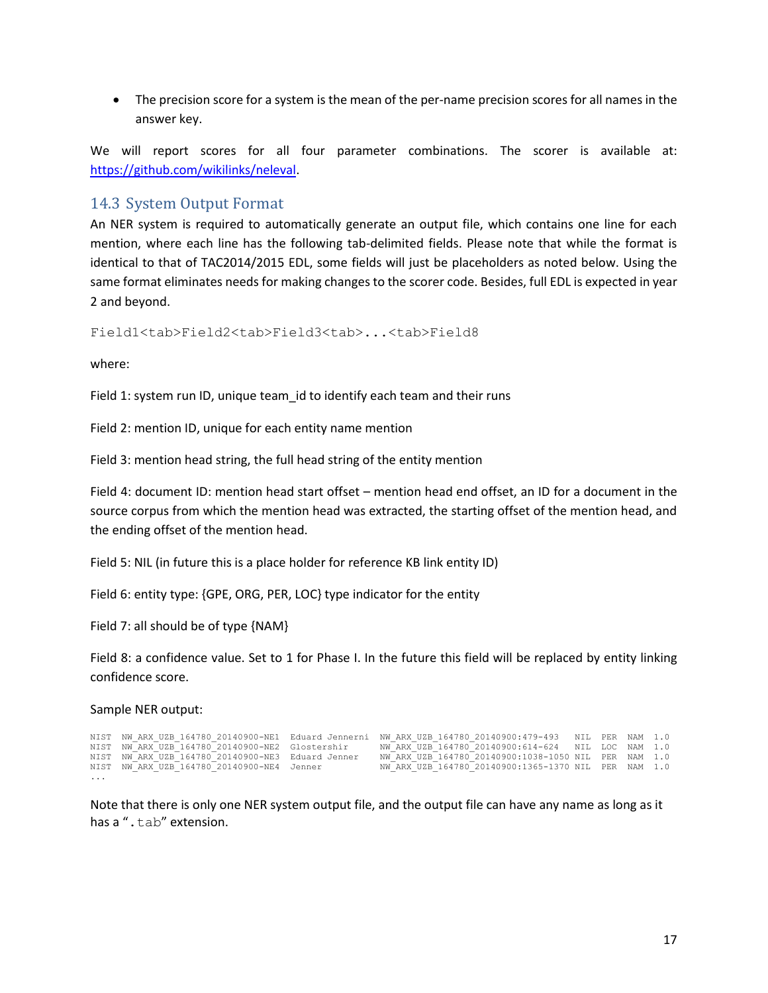The precision score for a system is the mean of the per-name precision scores for all names in the answer key.

We will report scores for all four parameter combinations. The scorer is available at: [https://github.com/wikilinks/neleval.](https://github.com/wikilinks/neleval)

#### <span id="page-16-0"></span>14.3 System Output Format

An NER system is required to automatically generate an output file, which contains one line for each mention, where each line has the following tab-delimited fields. Please note that while the format is identical to that of TAC2014/2015 EDL, some fields will just be placeholders as noted below. Using the same format eliminates needs for making changes to the scorer code. Besides, full EDL is expected in year 2 and beyond.

Field1<tab>Field2<tab>Field3<tab>...<tab>Field8

where:

Field 1: system run ID, unique team id to identify each team and their runs

Field 2: mention ID, unique for each entity name mention

Field 3: mention head string, the full head string of the entity mention

Field 4: document ID: mention head start offset – mention head end offset, an ID for a document in the source corpus from which the mention head was extracted, the starting offset of the mention head, and the ending offset of the mention head.

Field 5: NIL (in future this is a place holder for reference KB link entity ID)

Field 6: entity type: {GPE, ORG, PER, LOC} type indicator for the entity

Field 7: all should be of type {NAM}

Field 8: a confidence value. Set to 1 for Phase I. In the future this field will be replaced by entity linking confidence score.

#### Sample NER output:

|   |                                                   | NIST NW ARX UZB 164780 20140900-NE1 Eduard Jennerni NW ARX UZB 164780 20140900:479-493 NIL PER NAM 1.0 |  |
|---|---------------------------------------------------|--------------------------------------------------------------------------------------------------------|--|
|   | NIST NW ARX UZB 164780 20140900-NE2 Glostershir   | NW ARX UZB 164780 20140900:614-624 NIL LOC NAM 1.0                                                     |  |
|   | NIST NW ARX UZB 164780 20140900-NE3 Eduard Jenner | NW ARX UZB 164780 20140900:1038-1050 NIL PER NAM 1.0                                                   |  |
|   | NIST NW ARX UZB 164780 20140900-NE4 Jenner        | NW ARX UZB 164780 20140900:1365-1370 NIL PER NAM 1.0                                                   |  |
| . |                                                   |                                                                                                        |  |

Note that there is only one NER system output file, and the output file can have any name as long as it has a ".tab" extension.